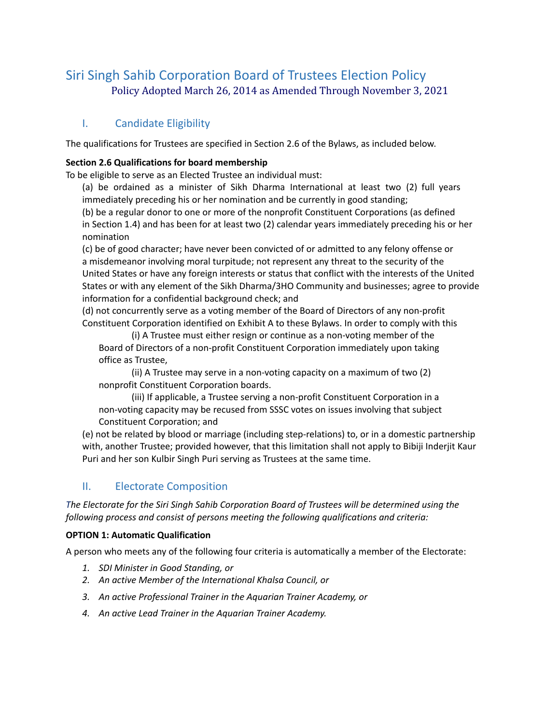# Siri Singh Sahib Corporation Board of Trustees Election Policy Policy Adopted March 26, 2014 as Amended Through November 3, 2021

# I. Candidate Eligibility

The qualifications for Trustees are specified in Section 2.6 of the Bylaws, as included below.

#### **Section 2.6 Qualifications for board membership**

To be eligible to serve as an Elected Trustee an individual must:

(a) be ordained as a minister of Sikh Dharma International at least two (2) full years immediately preceding his or her nomination and be currently in good standing;

(b) be a regular donor to one or more of the nonprofit Constituent Corporations (as defined in Section 1.4) and has been for at least two (2) calendar years immediately preceding his or her nomination

(c) be of good character; have never been convicted of or admitted to any felony offense or a misdemeanor involving moral turpitude; not represent any threat to the security of the United States or have any foreign interests or status that conflict with the interests of the United States or with any element of the Sikh Dharma/3HO Community and businesses; agree to provide information for a confidential background check; and

(d) not concurrently serve as a voting member of the Board of Directors of any non-profit Constituent Corporation identified on Exhibit A to these Bylaws. In order to comply with this

(i) A Trustee must either resign or continue as a non-voting member of the Board of Directors of a non-profit Constituent Corporation immediately upon taking office as Trustee,

(ii) A Trustee may serve in a non-voting capacity on a maximum of two (2) nonprofit Constituent Corporation boards.

(iii) If applicable, a Trustee serving a non-profit Constituent Corporation in a non-voting capacity may be recused from SSSC votes on issues involving that subject Constituent Corporation; and

(e) not be related by blood or marriage (including step-relations) to, or in a domestic partnership with, another Trustee; provided however, that this limitation shall not apply to Bibiji Inderjit Kaur Puri and her son Kulbir Singh Puri serving as Trustees at the same time.

# II. Electorate Composition

*The Electorate for the Siri Singh Sahib Corporation Board of Trustees will be determined using the following process and consist of persons meeting the following qualifications and criteria:*

#### **OPTION 1: Automatic Qualification**

A person who meets any of the following four criteria is automatically a member of the Electorate:

- *1. SDI Minister in Good Standing, or*
- *2. An active Member of the International Khalsa Council, or*
- *3. An active Professional Trainer in the Aquarian Trainer Academy, or*
- *4. An active Lead Trainer in the Aquarian Trainer Academy.*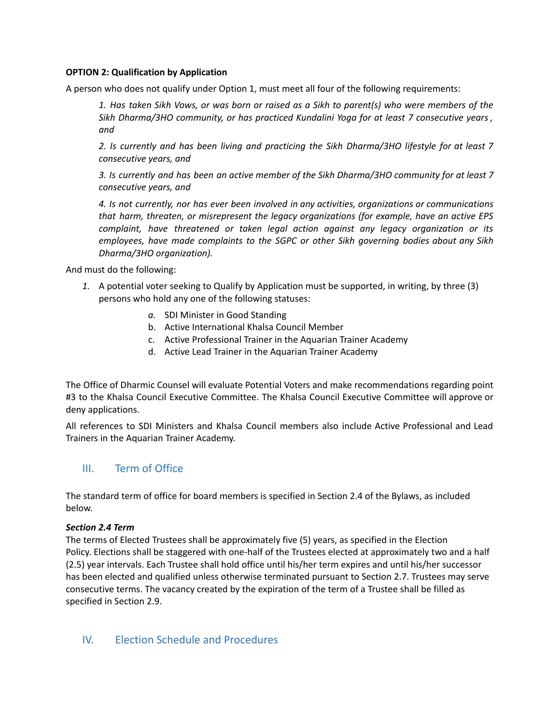#### **OPTION 2: Qualification by Application**

A person who does not qualify under Option 1, must meet all four of the following requirements:

1. Has taken Sikh Vows, or was born or raised as a Sikh to parent(s) who were members of the *Sikh Dharma/3HO community, or has practiced Kundalini Yoga for at least 7 consecutive years , and*

*2. Is currently and has been living and practicing the Sikh Dharma/3HO lifestyle for at least 7 consecutive years, and*

*3. Is currently and has been an active member of the Sikh Dharma/3HO community for at least 7 consecutive years, and*

*4. Is not currently, nor has ever been involved in any activities, organizations or communications that harm, threaten, or misrepresent the legacy organizations (for example, have an active EPS complaint, have threatened or taken legal action against any legacy organization or its employees, have made complaints to the SGPC or other Sikh governing bodies about any Sikh Dharma/3HO organization).*

And must do the following:

- *1.* A potential voter seeking to Qualify by Application must be supported, in writing, by three (3) persons who hold any one of the following statuses:
	- *a.* SDI Minister in Good Standing
	- b. Active International Khalsa Council Member
	- c. Active Professional Trainer in the Aquarian Trainer Academy
	- d. Active Lead Trainer in the Aquarian Trainer Academy

The Office of Dharmic Counsel will evaluate Potential Voters and make recommendations regarding point #3 to the Khalsa Council Executive Committee. The Khalsa Council Executive Committee will approve or deny applications.

All references to SDI Ministers and Khalsa Council members also include Active Professional and Lead Trainers in the Aquarian Trainer Academy.

# III. Term of Office

The standard term of office for board members is specified in Section 2.4 of the Bylaws, as included below.

#### *Section 2.4 Term*

The terms of Elected Trustees shall be approximately five (5) years, as specified in the Election Policy. Elections shall be staggered with one-half of the Trustees elected at approximately two and a half (2.5) year intervals. Each Trustee shall hold office until his/her term expires and until his/her successor has been elected and qualified unless otherwise terminated pursuant to Section 2.7. Trustees may serve consecutive terms. The vacancy created by the expiration of the term of a Trustee shall be filled as specified in Section 2.9.

# IV. Election Schedule and Procedures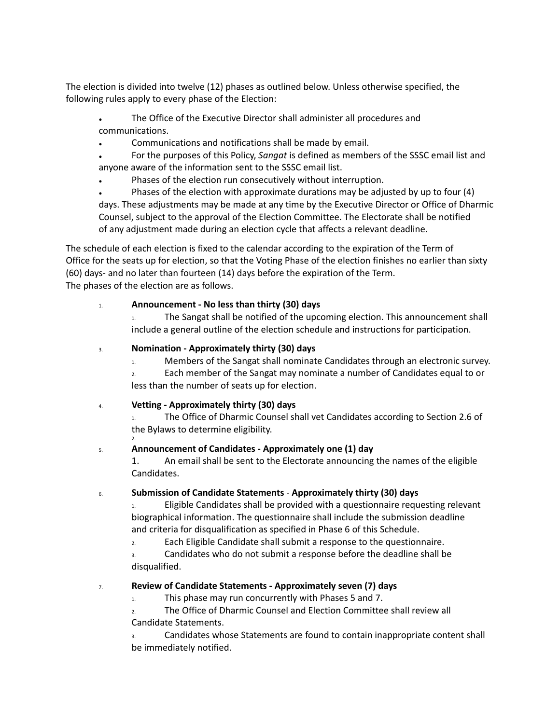The election is divided into twelve (12) phases as outlined below. Unless otherwise specified, the following rules apply to every phase of the Election:

- The Office of the Executive Director shall administer all procedures and communications.
- Communications and notifications shall be made by email.
- For the purposes of this Policy, *Sangat* is defined as members of the SSSC email list and anyone aware of the information sent to the SSSC email list.
- Phases of the election run consecutively without interruption.
- Phases of the election with approximate durations may be adjusted by up to four  $(4)$ days. These adjustments may be made at any time by the Executive Director or Office of Dharmic Counsel, subject to the approval of the Election Committee. The Electorate shall be notified of any adjustment made during an election cycle that affects a relevant deadline.

The schedule of each election is fixed to the calendar according to the expiration of the Term of Office for the seats up for election, so that the Voting Phase of the election finishes no earlier than sixty (60) days- and no later than fourteen (14) days before the expiration of the Term. The phases of the election are as follows.

# 1. **Announcement - No less than thirty (30) days**

The Sangat shall be notified of the upcoming election. This announcement shall include a general outline of the election schedule and instructions for participation.

#### 3. **Nomination - Approximately thirty (30) days**

1. Members of the Sangat shall nominate Candidates through an electronic survey.

2. Each member of the Sangat may nominate a number of Candidates equal to or less than the number of seats up for election.

# 4. **Vetting - Approximately thirty (30) days**

2.

1. The Office of Dharmic Counsel shall vet Candidates according to Section 2.6 of the Bylaws to determine eligibility.

# 5. **Announcement of Candidates - Approximately one (1) day**

1. An email shall be sent to the Electorate announcing the names of the eligible Candidates.

# 6. **Submission of Candidate Statements** - **Approximately thirty (30) days**

1. Eligible Candidates shall be provided with a questionnaire requesting relevant biographical information. The questionnaire shall include the submission deadline and criteria for disqualification as specified in Phase 6 of this Schedule.

2. Each Eligible Candidate shall submit a response to the questionnaire.

3. Candidates who do not submit a response before the deadline shall be disqualified.

# 7. **Review of Candidate Statements - Approximately seven (7) days**

1. This phase may run concurrently with Phases 5 and 7.

2. The Office of Dharmic Counsel and Election Committee shall review all Candidate Statements.

3. Candidates whose Statements are found to contain inappropriate content shall be immediately notified.